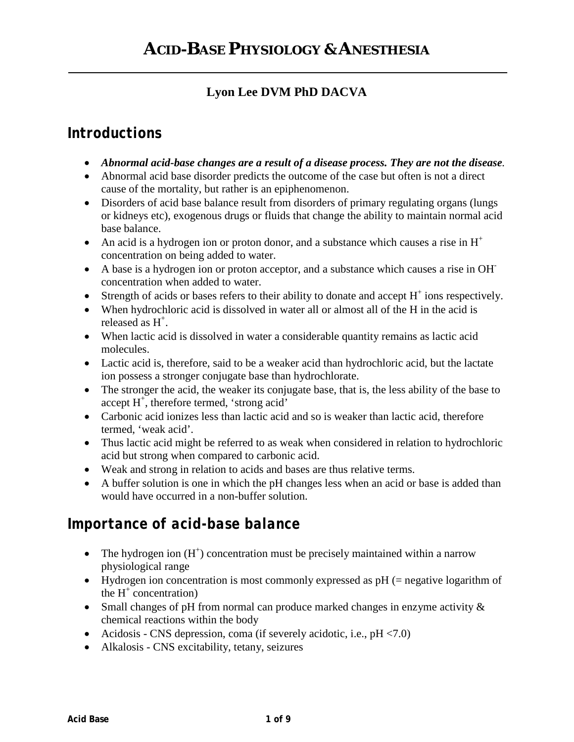### **Lyon Lee DVM PhD DACVA**

## *Introductions*

- *Abnormal acid-base changes are a result of a disease process. They are not the disease.*
- Abnormal acid base disorder predicts the outcome of the case but often is not a direct cause of the mortality, but rather is an epiphenomenon.
- Disorders of acid base balance result from disorders of primary regulating organs (lungs) or kidneys etc), exogenous drugs or fluids that change the ability to maintain normal acid base balance.
- An acid is a hydrogen ion or proton donor, and a substance which causes a rise in  $H^+$ concentration on being added to water.
- A base is a hydrogen ion or proton acceptor, and a substance which causes a rise in OH concentration when added to water.
- $\bullet$  Strength of acids or bases refers to their ability to donate and accept  $H^+$  ions respectively.
- When hydrochloric acid is dissolved in water all or almost all of the H in the acid is released as  $H^+$ .
- When lactic acid is dissolved in water a considerable quantity remains as lactic acid molecules.
- Lactic acid is, therefore, said to be a weaker acid than hydrochloric acid, but the lactate ion possess a stronger conjugate base than hydrochlorate.
- The stronger the acid, the weaker its conjugate base, that is, the less ability of the base to accept  $H^+$ , therefore termed, 'strong acid'
- Carbonic acid ionizes less than lactic acid and so is weaker than lactic acid, therefore termed, 'weak acid'.
- Thus lactic acid might be referred to as weak when considered in relation to hydrochloric acid but strong when compared to carbonic acid.
- Weak and strong in relation to acids and bases are thus relative terms.
- A buffer solution is one in which the pH changes less when an acid or base is added than would have occurred in a non-buffer solution.

## *Importance of acid-base balance*

- The hydrogen ion  $(H^+)$  concentration must be precisely maintained within a narrow physiological range
- Hydrogen ion concentration is most commonly expressed as pH (= negative logarithm of the  $H^+$  concentration)
- Small changes of pH from normal can produce marked changes in enzyme activity  $\&$ chemical reactions within the body
- Acidosis CNS depression, coma (if severely acidotic, i.e.,  $pH < 7.0$ )
- Alkalosis CNS excitability, tetany, seizures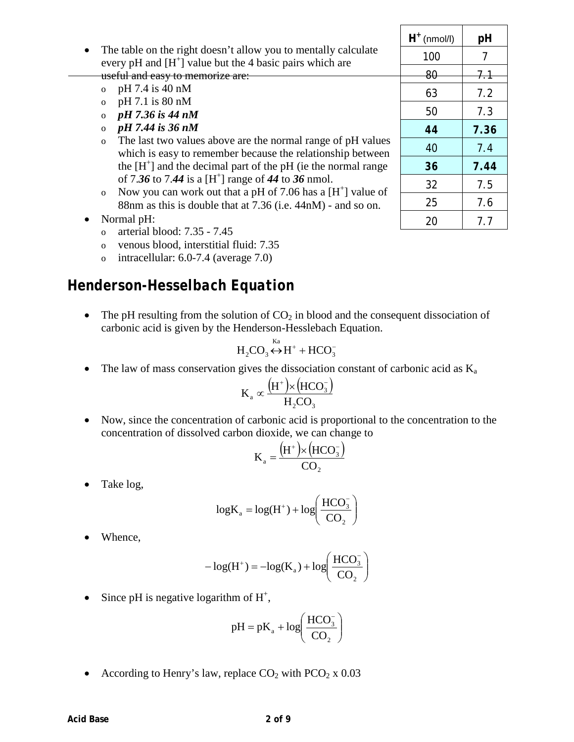- The table on the right doesn't allow you to mentally calculate every pH and  $[H^+]$  value but the 4 basic pairs which are useful and easy to memorize are:
	- o pH 7.4 is 40 nM
	- o pH 7.1 is 80 nM
	- o *pH 7.36 is 44 nM*
	- o *pH 7.44 is 36 nM*
	- o The last two values above are the normal range of pH values which is easy to remember because the relationship between the  $[H^+]$  and the decimal part of the pH (ie the normal range of 7.36 to 7.44 is a  $[H^+]$  range of 44 to 36 nmol.
	- o Now you can work out that a pH of 7.06 has a  $[H^+]$  value of 88nm as this is double that at 7.36 (i.e. 44nM) - and so on.
- Normal pH:
	- o arterial blood: 7.35 7.45
	- o venous blood, interstitial fluid: 7.35
	- o intracellular: 6.0-7.4 (average 7.0)

### *Henderson-Hesselbach Equation*

• The pH resulting from the solution of  $CO<sub>2</sub>$  in blood and the consequent dissociation of carbonic acid is given by the Henderson-Hesslebach Equation.

$$
H_2CO_3 \leftrightarrow H^+ + HCO_3^-
$$

• The law of mass conservation gives the dissociation constant of carbonic acid as  $K_a$ 

$$
K_a \propto \frac{(H^+) \times (HCO_3^-)}{H_2CO_3}
$$

• Now, since the concentration of carbonic acid is proportional to the concentration to the concentration of dissolved carbon dioxide, we can change to

$$
K_a = \frac{(H^+) \times (HCO_3^-)}{CO_2}
$$

• Take log,

$$
\log K_{a} = \log(H^{+}) + \log\left(\frac{HCO_{3}^{-}}{CO_{2}}\right)
$$

Whence,

$$
-\log(\text{H}^+) = -\log(\text{K}_a) + \log\left(\frac{\text{HCO}_3^-}{\text{CO}_2}\right)
$$

• Since pH is negative logarithm of  $H^+$ ,

$$
pH = pK_a + log\left(\frac{HCO_3^-}{CO_2}\right)
$$

• According to Henry's law, replace  $CO_2$  with  $PCO_2$  x 0.03

| $H^+$ (nmol/l) | рH   |
|----------------|------|
| 100            | 7    |
| 80             | 7.1  |
| 63             | 7.2  |
| 50             | 7.3  |
| 44             | 7.36 |
| 40             | 7.4  |
| 36             | 7.44 |
| 32             | 7.5  |
| 25             | 7.6  |
| 20             | 7.7  |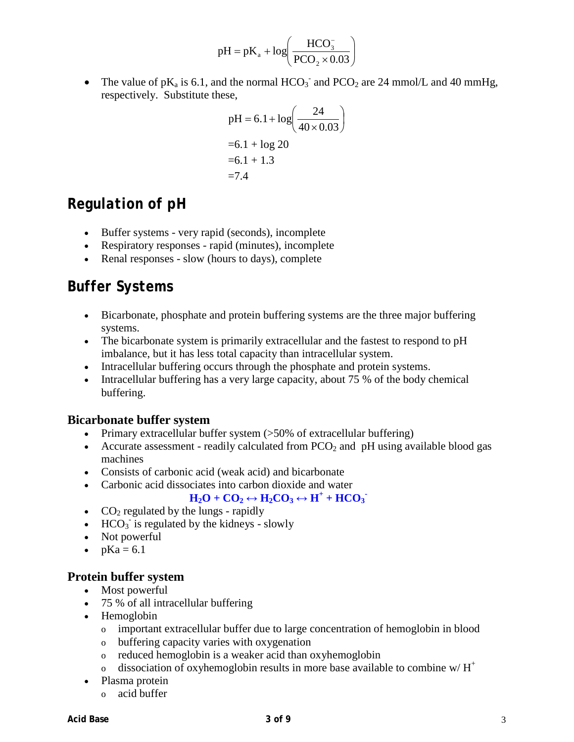$$
pH = pK_a + log\left(\frac{HCO_3^-}{PCO_2 \times 0.03}\right)
$$

• The value of  $pK_a$  is 6.1, and the normal  $HCO_3^-$  and  $PCO_2$  are 24 mmol/L and 40 mmHg, respectively. Substitute these,

$$
pH = 6.1 + log\left(\frac{24}{40 \times 0.03}\right)
$$
  
= 6.1 + log 20  
= 6.1 + 1.3  
= 7.4

### *Regulation of pH*

- Buffer systems very rapid (seconds), incomplete
- Respiratory responses rapid (minutes), incomplete
- Renal responses slow (hours to days), complete

## *Buffer Systems*

- Bicarbonate, phosphate and protein buffering systems are the three major buffering systems.
- The bicarbonate system is primarily extracellular and the fastest to respond to pH imbalance, but it has less total capacity than intracellular system.
- Intracellular buffering occurs through the phosphate and protein systems.
- Intracellular buffering has a very large capacity, about 75 % of the body chemical buffering.

#### **Bicarbonate buffer system**

- Primary extracellular buffer system (>50% of extracellular buffering)
- Accurate assessment readily calculated from  $PCO<sub>2</sub>$  and  $pH$  using available blood gas machines
- Consists of carbonic acid (weak acid) and bicarbonate
- Carbonic acid dissociates into carbon dioxide and water

#### $H_2O + CO_2 \leftrightarrow H_2CO_3 \leftrightarrow H^+ + HCO_3$

- $CO<sub>2</sub>$  regulated by the lungs rapidly
- $\bullet$  HCO<sub>3</sub> is regulated by the kidneys slowly
- Not powerful
- $pKa = 6.1$

#### **Protein buffer system**

- Most powerful
- 75 % of all intracellular buffering
- Hemoglobin
	- o important extracellular buffer due to large concentration of hemoglobin in blood
	- o buffering capacity varies with oxygenation
	- o reduced hemoglobin is a weaker acid than oxyhemoglobin
	- o dissociation of oxyhemoglobin results in more base available to combine  $w/H^+$
- Plasma protein
	- o acid buffer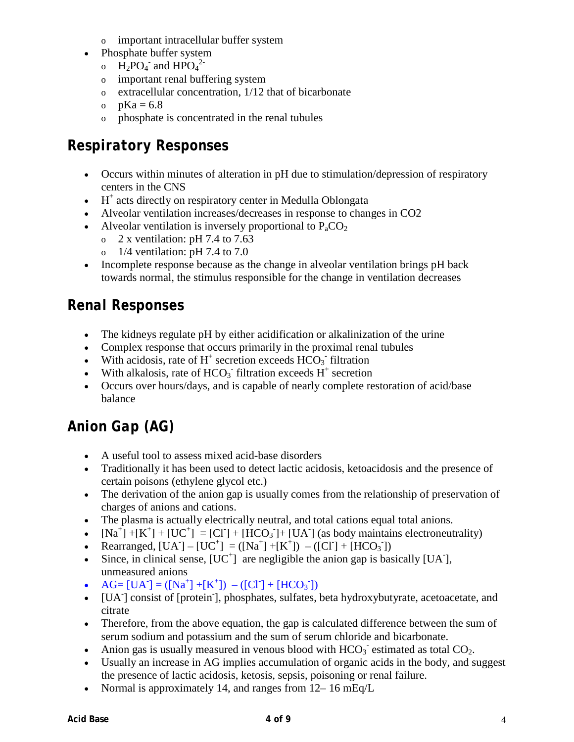- o important intracellular buffer system
- Phosphate buffer system
	- o  $\text{H}_2\text{PO}_4$  and  $\text{HPO}_4^2$
	- o important renal buffering system
	- o extracellular concentration, 1/12 that of bicarbonate
	- o  $pKa = 6.8$
	- o phosphate is concentrated in the renal tubules

# *Respiratory Responses*

- Occurs within minutes of alteration in pH due to stimulation/depression of respiratory centers in the CNS
- $\bullet$  H<sup>+</sup> acts directly on respiratory center in Medulla Oblongata
- Alveolar ventilation increases/decreases in response to changes in CO2
- Alveolar ventilation is inversely proportional to  $P_aCO_2$ 
	- o 2 x ventilation: pH 7.4 to 7.63
	- o  $1/4$  ventilation: pH 7.4 to 7.0
- Incomplete response because as the change in alveolar ventilation brings pH back towards normal, the stimulus responsible for the change in ventilation decreases

# *Renal Responses*

- The kidneys regulate pH by either acidification or alkalinization of the urine
- Complex response that occurs primarily in the proximal renal tubules
- With acidosis, rate of  $H^+$  secretion exceeds  $HCO_3^-$  filtration
- With alkalosis, rate of  $HCO<sub>3</sub>$  filtration exceeds  $H<sup>+</sup>$  secretion
- Occurs over hours/days, and is capable of nearly complete restoration of acid/base balance

# *Anion Gap (AG)*

- A useful tool to assess mixed acid-base disorders
- Traditionally it has been used to detect lactic acidosis, ketoacidosis and the presence of certain poisons (ethylene glycol etc.)
- The derivation of the anion gap is usually comes from the relationship of preservation of charges of anions and cations.
- The plasma is actually electrically neutral, and total cations equal total anions.
- $[Na^+] + [K^+] + [UC^+] = [CI] + [HCO<sub>3</sub>]+ [UA]$  (as body maintains electroneutrality)
- Rearranged,  $[UA] [UC^+] = ([Na^+] + [K^+]) ([Cl^-] + [HCO_3^-])$
- Since, in clinical sense,  $[UC^+]$  are negligible the anion gap is basically  $[UA]$ , unmeasured anions
- AG= [UA<sup>-</sup>] = ([Na<sup>+</sup>] +[K<sup>+</sup>]) ([Cl<sup>-</sup>] + [HCO<sub>3</sub><sup>-</sup>])
- [UA- ] consist of [protein- ], phosphates, sulfates, beta hydroxybutyrate, acetoacetate, and citrate
- Therefore, from the above equation, the gap is calculated difference between the sum of serum sodium and potassium and the sum of serum chloride and bicarbonate.
- Anion gas is usually measured in venous blood with  $HCO_3^-$  estimated as total  $CO_2$ .
- Usually an increase in AG implies accumulation of organic acids in the body, and suggest the presence of lactic acidosis, ketosis, sepsis, poisoning or renal failure.
- Normal is approximately 14, and ranges from  $12-16$  mEq/L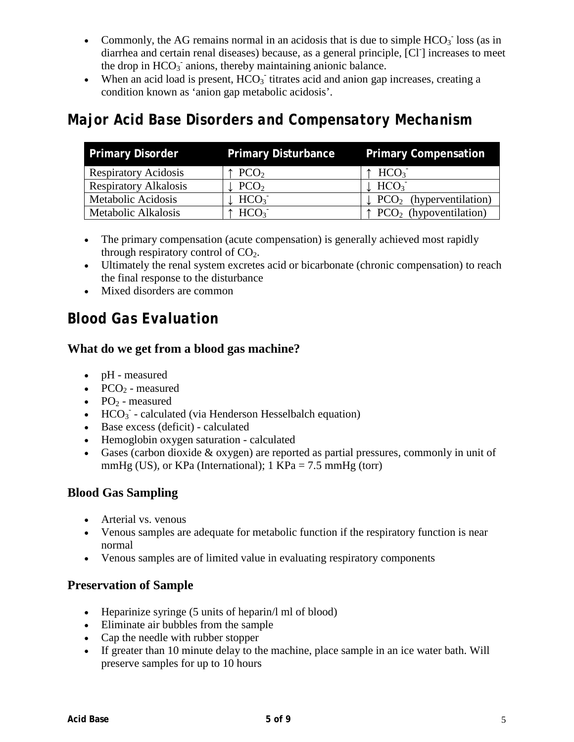- Commonly, the AG remains normal in an acidosis that is due to simple  $HCO<sub>3</sub>$  loss (as in diarrhea and certain renal diseases) because, as a general principle, [Cl- ] increases to meet the drop in HCO<sub>3</sub> anions, thereby maintaining anionic balance.
- When an acid load is present,  $HCO<sub>3</sub>$  titrates acid and anion gap increases, creating a condition known as 'anion gap metabolic acidosis'.

## *Major Acid Base Disorders and Compensatory Mechanism*

| <b>Primary Disorder</b>      | <b>Primary Disturbance</b>    | <b>Primary Compensation</b>                      |
|------------------------------|-------------------------------|--------------------------------------------------|
| <b>Respiratory Acidosis</b>  | $\uparrow$ PCO <sub>2</sub>   | $\uparrow$ HCO <sub>3</sub>                      |
| <b>Respiratory Alkalosis</b> | PCO <sub>2</sub>              | $\downarrow$ HCO <sub>3</sub>                    |
| Metabolic Acidosis           | $\downarrow$ HCO <sub>3</sub> | $\downarrow$ PCO <sub>2</sub> (hyperventilation) |
| Metabolic Alkalosis          | $\uparrow$ HCO <sub>3</sub>   | $\uparrow$ PCO <sub>2</sub> (hypoventilation)    |

- The primary compensation (acute compensation) is generally achieved most rapidly through respiratory control of  $CO<sub>2</sub>$ .
- Ultimately the renal system excretes acid or bicarbonate (chronic compensation) to reach the final response to the disturbance
- Mixed disorders are common

## *Blood Gas Evaluation*

#### **What do we get from a blood gas machine?**

- pH measured
- $PCO<sub>2</sub>$  measured
- $PO_2$  measured
- $\bullet$  HCO<sub>3</sub> calculated (via Henderson Hesselbalch equation)
- Base excess (deficit) calculated
- Hemoglobin oxygen saturation calculated
- Gases (carbon dioxide & oxygen) are reported as partial pressures, commonly in unit of mmHg (US), or KPa (International);  $1$  KPa = 7.5 mmHg (torr)

#### **Blood Gas Sampling**

- Arterial vs. venous
- Venous samples are adequate for metabolic function if the respiratory function is near normal
- Venous samples are of limited value in evaluating respiratory components

#### **Preservation of Sample**

- Heparinize syringe (5 units of heparin/l ml of blood)
- Eliminate air bubbles from the sample
- Cap the needle with rubber stopper
- If greater than 10 minute delay to the machine, place sample in an ice water bath. Will preserve samples for up to 10 hours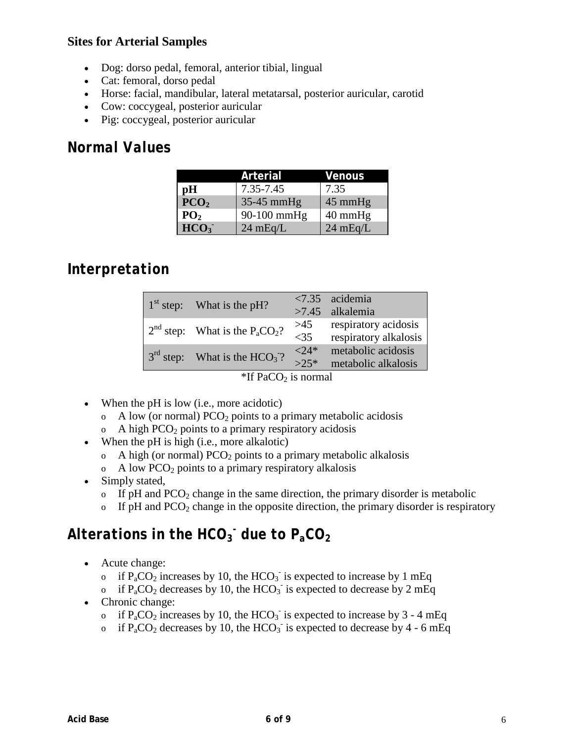#### **Sites for Arterial Samples**

- Dog: dorso pedal, femoral, anterior tibial, lingual
- Cat: femoral, dorso pedal
- Horse: facial, mandibular, lateral metatarsal, posterior auricular, carotid
- Cow: coccygeal, posterior auricular
- Pig: coccygeal, posterior auricular

### *Normal Values*

|                  | Arterial           | Venous             |
|------------------|--------------------|--------------------|
| pH               | 7.35-7.45          | 7.35               |
| PCO <sub>2</sub> | $35-45$ mmHg       | $45 \text{ mmHg}$  |
| PO <sub>2</sub>  | $90-100$ mmHg      | $40 \text{ mmHg}$  |
| HCO <sub>3</sub> | $24 \text{ mEq/L}$ | $24 \text{ mEq/L}$ |

## *Interpretation*

| $1st$ step: What is the pH?                              |         | $\langle 7.35 \rangle$ acidemia |                       |
|----------------------------------------------------------|---------|---------------------------------|-----------------------|
|                                                          |         |                                 | $>7.45$ alkalemia     |
| $2nd$ step: What is the P <sub>a</sub> CO <sub>2</sub> ? | >45     | respiratory acidosis            |                       |
|                                                          |         | $<$ 35                          | respiratory alkalosis |
| $3rd$ step: What is the $HCO3$ ?                         | $<$ 24* | metabolic acidosis              |                       |
|                                                          |         | $>2.5*$                         | metabolic alkalosis   |
| *If $PaCO2$ is normal                                    |         |                                 |                       |

- When the pH is low (i.e., more acidotic)
	- $\alpha$  A low (or normal) PCO<sub>2</sub> points to a primary metabolic acidosis
	- $\alpha$  A high PCO<sub>2</sub> points to a primary respiratory acidosis
- When the pH is high (i.e., more alkalotic)
	- $\alpha$  A high (or normal) PCO<sub>2</sub> points to a primary metabolic alkalosis
	- $\alpha$  A low PCO<sub>2</sub> points to a primary respiratory alkalosis
- Simply stated,
	- o If pH and  $PCO<sub>2</sub>$  change in the same direction, the primary disorder is metabolic
	- $\sigma$  If pH and PCO<sub>2</sub> change in the opposite direction, the primary disorder is respiratory

# *Alterations in the HCO3 - due to PaCO2*

- Acute change:
	- o if  $P_aCO_2$  increases by 10, the HCO<sub>3</sub> is expected to increase by 1 mEq
	- o if  $P_aCO_2$  decreases by 10, the HCO<sub>3</sub> is expected to decrease by 2 mEq
- Chronic change:
	- o if  $P_aCO_2$  increases by 10, the HCO<sub>3</sub> is expected to increase by 3 4 mEq
	- o if  $P_aCO_2$  decreases by 10, the HCO<sub>3</sub> is expected to decrease by 4 6 mEq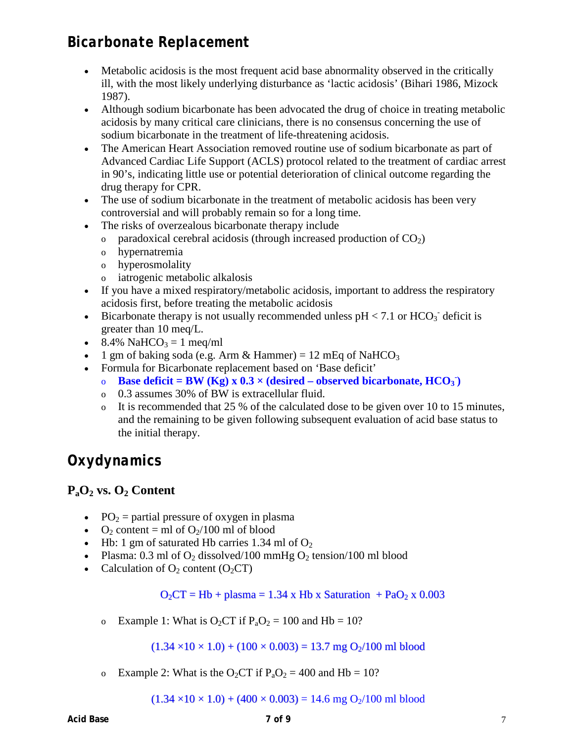## *Bicarbonate Replacement*

- Metabolic acidosis is the most frequent acid base abnormality observed in the critically ill, with the most likely underlying disturbance as 'lactic acidosis' (Bihari 1986, Mizock 1987).
- Although sodium bicarbonate has been advocated the drug of choice in treating metabolic acidosis by many critical care clinicians, there is no consensus concerning the use of sodium bicarbonate in the treatment of life-threatening acidosis.
- The American Heart Association removed routine use of sodium bicarbonate as part of Advanced Cardiac Life Support (ACLS) protocol related to the treatment of cardiac arrest in 90's, indicating little use or potential deterioration of clinical outcome regarding the drug therapy for CPR.
- The use of sodium bicarbonate in the treatment of metabolic acidosis has been very controversial and will probably remain so for a long time.
- The risks of overzealous bicarbonate therapy include
	- o paradoxical cerebral acidosis (through increased production of  $CO<sub>2</sub>$ )
	- o hypernatremia
	- o hyperosmolality
	- o iatrogenic metabolic alkalosis
- If you have a mixed respiratory/metabolic acidosis, important to address the respiratory acidosis first, before treating the metabolic acidosis
- Bicarbonate therapy is not usually recommended unless  $pH < 7.1$  or  $HCO<sub>3</sub>$  deficit is greater than 10 meq/L.
- 8.4% NaHCO<sub>3</sub> = 1 meg/ml
- 1 gm of baking soda (e.g. Arm & Hammer) = 12 mEq of NaHCO<sub>3</sub>
- Formula for Bicarbonate replacement based on 'Base deficit'
	- **Base deficit = BW** (Kg)  $x$  0.3  $\times$  (desired observed bicarbonate, HCO<sub>3</sub>)
	- o 0.3 assumes 30% of BW is extracellular fluid.
	- o It is recommended that 25 % of the calculated dose to be given over 10 to 15 minutes, and the remaining to be given following subsequent evaluation of acid base status to the initial therapy.

# *Oxydynamics*

### **PaO2 vs. O2 Content**

- PO<sub>2</sub> = partial pressure of oxygen in plasma
- $O_2$  content = ml of  $O_2/100$  ml of blood
- Hb: 1 gm of saturated Hb carries 1.34 ml of  $O_2$
- Plasma: 0.3 ml of  $O_2$  dissolved/100 mmHg  $O_2$  tension/100 ml blood
- Calculation of  $O_2$  content  $(O_2CT)$

 $O_2CT = Hb + plasma = 1.34 \times Hb \times Saturation + PaO_2 \times 0.003$ 

o Example 1: What is  $O_2CT$  if  $P_aO_2 = 100$  and Hb = 10?

 $(1.34 \times 10 \times 1.0) + (100 \times 0.003) = 13.7$  mg O<sub>2</sub>/100 ml blood

o Example 2: What is the O<sub>2</sub>CT if  $P_1O_2 = 400$  and Hb = 10?

 $(1.34 \times 10 \times 1.0) + (400 \times 0.003) = 14.6$  mg O<sub>2</sub>/100 ml blood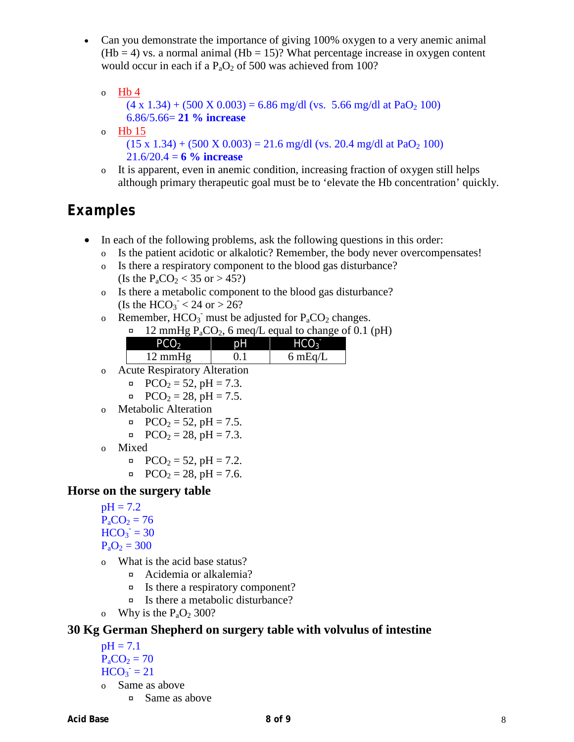- Can you demonstrate the importance of giving 100% oxygen to a very anemic animal  $(Hb = 4)$  vs. a normal animal  $(Hb = 15)$ ? What percentage increase in oxygen content would occur in each if a  $P_aO_2$  of 500 was achieved from 100?
	- o  $Hb4$  $(4 \times 1.34) + (500 \times 0.003) = 6.86$  mg/dl (vs. 5.66 mg/dl at PaO<sub>2</sub> 100) 6.86/5.66= **21 % increase** o Hb 15  $(15 \times 1.34) + (500 \times 0.003) = 21.6$  mg/dl (vs. 20.4 mg/dl at PaO<sub>2</sub> 100)
		- $21.6/20.4 = 6 \%$  increase
	- o It is apparent, even in anemic condition, increasing fraction of oxygen still helps although primary therapeutic goal must be to 'elevate the Hb concentration' quickly.

# *Examples*

- In each of the following problems, ask the following questions in this order:
	- o Is the patient acidotic or alkalotic? Remember, the body never overcompensates!
	- o Is there a respiratory component to the blood gas disturbance? (Is the  $P_aCO_2 < 35$  or  $> 45$ ?)
	- o Is there a metabolic component to the blood gas disturbance? (Is the  $HCO_3^- < 24$  or  $> 26$ ?
	- o Remember,  $HCO_3$  must be adjusted for  $P_aCO_2$  changes.
		- $\alpha$  12 mmHg P<sub>a</sub>CO<sub>2</sub>, 6 meg/L equal to change of 0.1 (pH)

| .                 | -  |                   |
|-------------------|----|-------------------|
| PCO <sub>2</sub>  | рH | HCO <sub>3</sub>  |
| $12 \text{ mmHg}$ |    | $6 \text{ mEq/L}$ |
|                   |    |                   |

- o Acute Respiratory Alteration
	- $\alpha$  PCO<sub>2</sub> = 52, pH = 7.3.
	- $\alpha$  PCO<sub>2</sub> = 28, pH = 7.5.
- o Metabolic Alteration
	- $pCO<sub>2</sub> = 52$ ,  $pH = 7.5$ .
	- $pCO<sub>2</sub> = 28$ ,  $pH = 7.3$ .
- o Mixed
	- $\alpha$  PCO<sub>2</sub> = 52, pH = 7.2.
	- $\alpha$  PCO<sub>2</sub> = 28, pH = 7.6.

### **Horse on the surgery table**

 $pH = 7.2$  $P_{a}CO_{2} = 76$  $HCO<sub>3</sub><sup>-</sup> = 30$ 

$$
P_aO_2=300
$$

- o What is the acid base status?
	- ¤ Acidemia or alkalemia?
	- ¤ Is there a respiratory component?
	- ¤ Is there a metabolic disturbance?
- o Why is the  $P_aO_2$  300?

### **30 Kg German Shepherd on surgery table with volvulus of intestine**

- $pH = 7.1$  $P_aCO_2 = 70$  $HCO<sub>3</sub><sup>-</sup> = 21$ o Same as above
	- ¤ Same as above